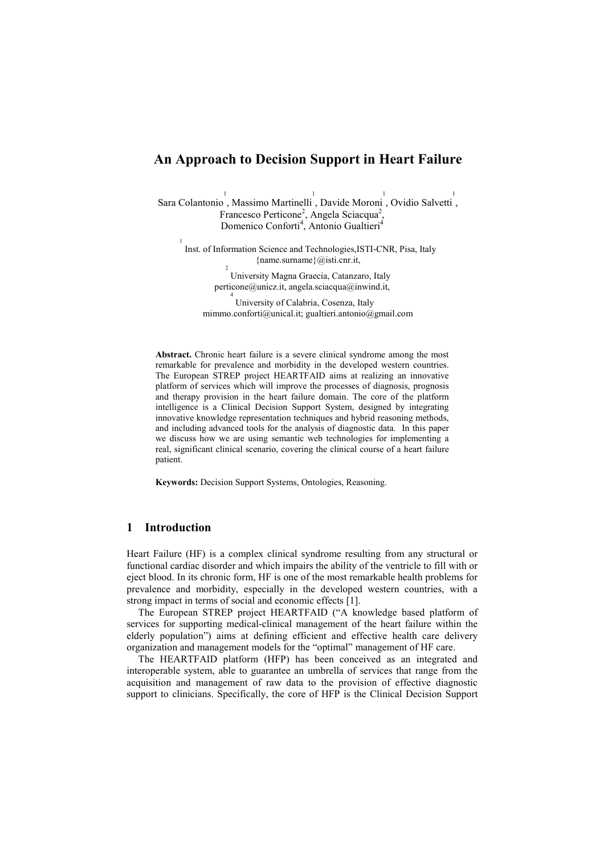# An Approach to Decision Support in Heart Failure

Sara Colantonio, Massimo Martinelli, Davide Moroni, Ovidio Salvetti, 1 Francesco Perticone<sup>2</sup>, Angela Sciacqua<sup>2</sup>, Domenico Conforti<sup>4</sup>, Antonio Gualtieri<sup>4</sup>

 Inst. of Information Science and Technologies,ISTI-CNR, Pisa, Italy {name.surname}@isti.cnr.it,

> University Magna Graecia, Catanzaro, Italy perticone@unicz.it, angela.sciacqua@inwind.it,

4 University of Calabria, Cosenza, Italy mimmo.conforti@unical.it; gualtieri.antonio@gmail.com

Abstract. Chronic heart failure is a severe clinical syndrome among the most remarkable for prevalence and morbidity in the developed western countries. The European STREP project HEARTFAID aims at realizing an innovative platform of services which will improve the processes of diagnosis, prognosis and therapy provision in the heart failure domain. The core of the platform intelligence is a Clinical Decision Support System, designed by integrating innovative knowledge representation techniques and hybrid reasoning methods, and including advanced tools for the analysis of diagnostic data. In this paper we discuss how we are using semantic web technologies for implementing a real, significant clinical scenario, covering the clinical course of a heart failure patient.

Keywords: Decision Support Systems, Ontologies, Reasoning.

### 1 Introduction

1

2

Heart Failure (HF) is a complex clinical syndrome resulting from any structural or functional cardiac disorder and which impairs the ability of the ventricle to fill with or eject blood. In its chronic form, HF is one of the most remarkable health problems for prevalence and morbidity, especially in the developed western countries, with a strong impact in terms of social and economic effects [1].

The European STREP project HEARTFAID ("A knowledge based platform of services for supporting medical-clinical management of the heart failure within the elderly population") aims at defining efficient and effective health care delivery organization and management models for the "optimal" management of HF care.

The HEARTFAID platform (HFP) has been conceived as an integrated and interoperable system, able to guarantee an umbrella of services that range from the acquisition and management of raw data to the provision of effective diagnostic support to clinicians. Specifically, the core of HFP is the Clinical Decision Support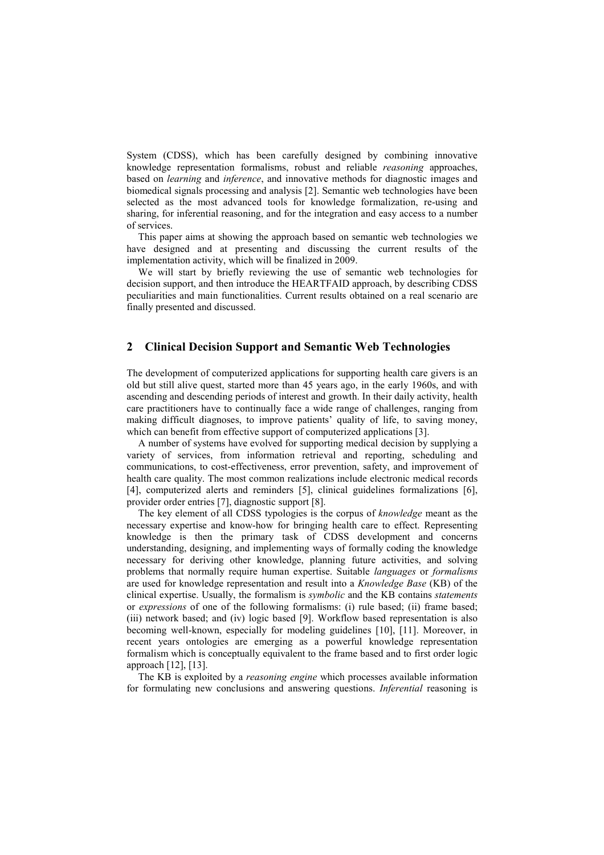System (CDSS), which has been carefully designed by combining innovative knowledge representation formalisms, robust and reliable reasoning approaches, based on learning and inference, and innovative methods for diagnostic images and biomedical signals processing and analysis [2]. Semantic web technologies have been selected as the most advanced tools for knowledge formalization, re-using and sharing, for inferential reasoning, and for the integration and easy access to a number of services.

This paper aims at showing the approach based on semantic web technologies we have designed and at presenting and discussing the current results of the implementation activity, which will be finalized in 2009.

We will start by briefly reviewing the use of semantic web technologies for decision support, and then introduce the HEARTFAID approach, by describing CDSS peculiarities and main functionalities. Current results obtained on a real scenario are finally presented and discussed.

## 2 Clinical Decision Support and Semantic Web Technologies

The development of computerized applications for supporting health care givers is an old but still alive quest, started more than 45 years ago, in the early 1960s, and with ascending and descending periods of interest and growth. In their daily activity, health care practitioners have to continually face a wide range of challenges, ranging from making difficult diagnoses, to improve patients' quality of life, to saving money, which can benefit from effective support of computerized applications [3].

A number of systems have evolved for supporting medical decision by supplying a variety of services, from information retrieval and reporting, scheduling and communications, to cost-effectiveness, error prevention, safety, and improvement of health care quality. The most common realizations include electronic medical records [4], computerized alerts and reminders [5], clinical guidelines formalizations [6], provider order entries [7], diagnostic support [8].

The key element of all CDSS typologies is the corpus of knowledge meant as the necessary expertise and know-how for bringing health care to effect. Representing knowledge is then the primary task of CDSS development and concerns understanding, designing, and implementing ways of formally coding the knowledge necessary for deriving other knowledge, planning future activities, and solving problems that normally require human expertise. Suitable languages or formalisms are used for knowledge representation and result into a Knowledge Base (KB) of the clinical expertise. Usually, the formalism is symbolic and the KB contains statements or expressions of one of the following formalisms: (i) rule based; (ii) frame based; (iii) network based; and (iv) logic based [9]. Workflow based representation is also becoming well-known, especially for modeling guidelines [10], [11]. Moreover, in recent years ontologies are emerging as a powerful knowledge representation formalism which is conceptually equivalent to the frame based and to first order logic approach [12], [13].

The KB is exploited by a reasoning engine which processes available information for formulating new conclusions and answering questions. Inferential reasoning is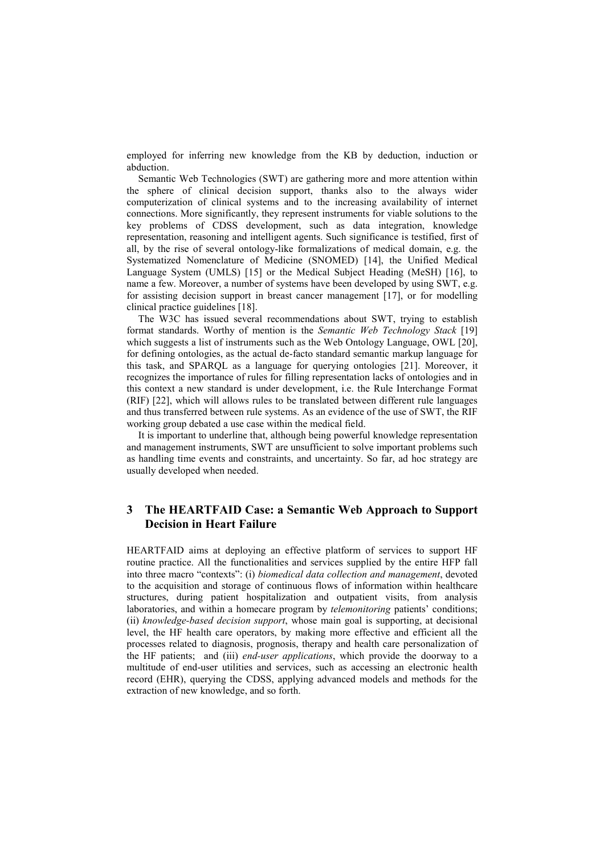employed for inferring new knowledge from the KB by deduction, induction or abduction.

Semantic Web Technologies (SWT) are gathering more and more attention within the sphere of clinical decision support, thanks also to the always wider computerization of clinical systems and to the increasing availability of internet connections. More significantly, they represent instruments for viable solutions to the key problems of CDSS development, such as data integration, knowledge representation, reasoning and intelligent agents. Such significance is testified, first of all, by the rise of several ontology-like formalizations of medical domain, e.g. the Systematized Nomenclature of Medicine (SNOMED) [14], the Unified Medical Language System (UMLS) [15] or the Medical Subject Heading (MeSH) [16], to name a few. Moreover, a number of systems have been developed by using SWT, e.g. for assisting decision support in breast cancer management [17], or for modelling clinical practice guidelines [18].

The W3C has issued several recommendations about SWT, trying to establish format standards. Worthy of mention is the Semantic Web Technology Stack [19] which suggests a list of instruments such as the Web Ontology Language, OWL [20], for defining ontologies, as the actual de-facto standard semantic markup language for this task, and SPARQL as a language for querying ontologies [21]. Moreover, it recognizes the importance of rules for filling representation lacks of ontologies and in this context a new standard is under development, i.e. the Rule Interchange Format (RIF) [22], which will allows rules to be translated between different rule languages and thus transferred between rule systems. As an evidence of the use of SWT, the RIF working group debated a use case within the medical field.

It is important to underline that, although being powerful knowledge representation and management instruments, SWT are unsufficient to solve important problems such as handling time events and constraints, and uncertainty. So far, ad hoc strategy are usually developed when needed.

## 3 The HEARTFAID Case: a Semantic Web Approach to Support Decision in Heart Failure

HEARTFAID aims at deploying an effective platform of services to support HF routine practice. All the functionalities and services supplied by the entire HFP fall into three macro "contexts": (i) biomedical data collection and management, devoted to the acquisition and storage of continuous flows of information within healthcare structures, during patient hospitalization and outpatient visits, from analysis laboratories, and within a homecare program by telemonitoring patients' conditions; (ii) knowledge-based decision support, whose main goal is supporting, at decisional level, the HF health care operators, by making more effective and efficient all the processes related to diagnosis, prognosis, therapy and health care personalization of the HF patients; and (iii) *end-user applications*, which provide the doorway to a multitude of end-user utilities and services, such as accessing an electronic health record (EHR), querying the CDSS, applying advanced models and methods for the extraction of new knowledge, and so forth.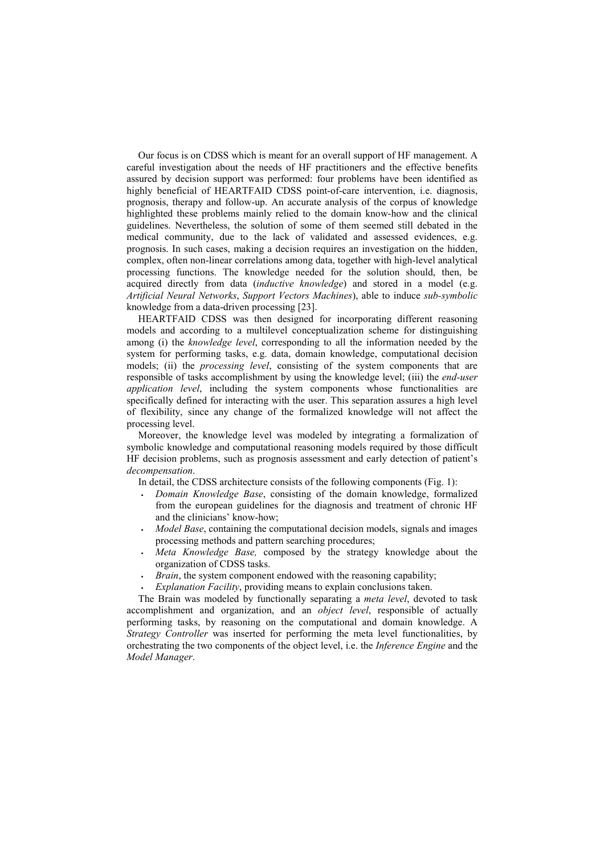Our focus is on CDSS which is meant for an overall support of HF management. A careful investigation about the needs of HF practitioners and the effective benefits assured by decision support was performed: four problems have been identified as highly beneficial of HEARTFAID CDSS point-of-care intervention, i.e. diagnosis, prognosis, therapy and follow-up. An accurate analysis of the corpus of knowledge highlighted these problems mainly relied to the domain know-how and the clinical guidelines. Nevertheless, the solution of some of them seemed still debated in the medical community, due to the lack of validated and assessed evidences, e.g. prognosis. In such cases, making a decision requires an investigation on the hidden, complex, often non-linear correlations among data, together with high-level analytical processing functions. The knowledge needed for the solution should, then, be acquired directly from data (inductive knowledge) and stored in a model (e.g. Artificial Neural Networks, Support Vectors Machines), able to induce sub-symbolic knowledge from a data-driven processing [23].

HEARTFAID CDSS was then designed for incorporating different reasoning models and according to a multilevel conceptualization scheme for distinguishing among (i) the *knowledge level*, corresponding to all the information needed by the system for performing tasks, e.g. data, domain knowledge, computational decision models; (ii) the *processing level*, consisting of the system components that are responsible of tasks accomplishment by using the knowledge level; (iii) the end-user application level, including the system components whose functionalities are specifically defined for interacting with the user. This separation assures a high level of flexibility, since any change of the formalized knowledge will not affect the processing level.

Moreover, the knowledge level was modeled by integrating a formalization of symbolic knowledge and computational reasoning models required by those difficult HF decision problems, such as prognosis assessment and early detection of patient's decompensation.

In detail, the CDSS architecture consists of the following components (Fig. 1):

- Domain Knowledge Base, consisting of the domain knowledge, formalized from the european guidelines for the diagnosis and treatment of chronic HF and the clinicians' know-how;
- Model Base, containing the computational decision models, signals and images processing methods and pattern searching procedures;
- Meta Knowledge Base, composed by the strategy knowledge about the organization of CDSS tasks.
- Brain, the system component endowed with the reasoning capability;
- Explanation Facility, providing means to explain conclusions taken.

The Brain was modeled by functionally separating a meta level, devoted to task accomplishment and organization, and an *object level*, responsible of actually performing tasks, by reasoning on the computational and domain knowledge. A Strategy Controller was inserted for performing the meta level functionalities, by orchestrating the two components of the object level, i.e. the Inference Engine and the Model Manager.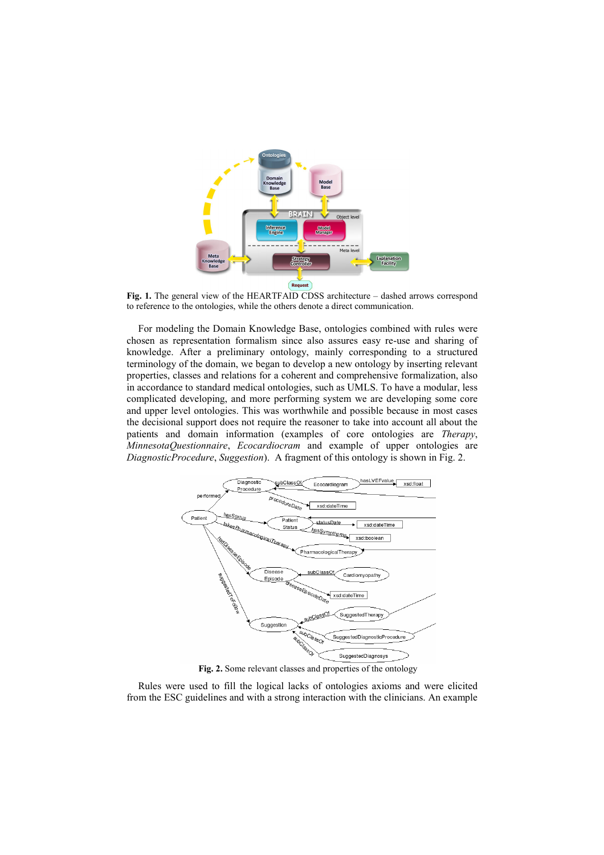

Fig. 1. The general view of the HEARTFAID CDSS architecture – dashed arrows correspond to reference to the ontologies, while the others denote a direct communication.

For modeling the Domain Knowledge Base, ontologies combined with rules were chosen as representation formalism since also assures easy re-use and sharing of knowledge. After a preliminary ontology, mainly corresponding to a structured terminology of the domain, we began to develop a new ontology by inserting relevant properties, classes and relations for a coherent and comprehensive formalization, also in accordance to standard medical ontologies, such as UMLS. To have a modular, less complicated developing, and more performing system we are developing some core and upper level ontologies. This was worthwhile and possible because in most cases the decisional support does not require the reasoner to take into account all about the patients and domain information (examples of core ontologies are Therapy, MinnesotaQuestionnaire, Ecocardiocram and example of upper ontologies are DiagnosticProcedure, Suggestion). A fragment of this ontology is shown in Fig. 2.



Fig. 2. Some relevant classes and properties of the ontology

Rules were used to fill the logical lacks of ontologies axioms and were elicited from the ESC guidelines and with a strong interaction with the clinicians. An example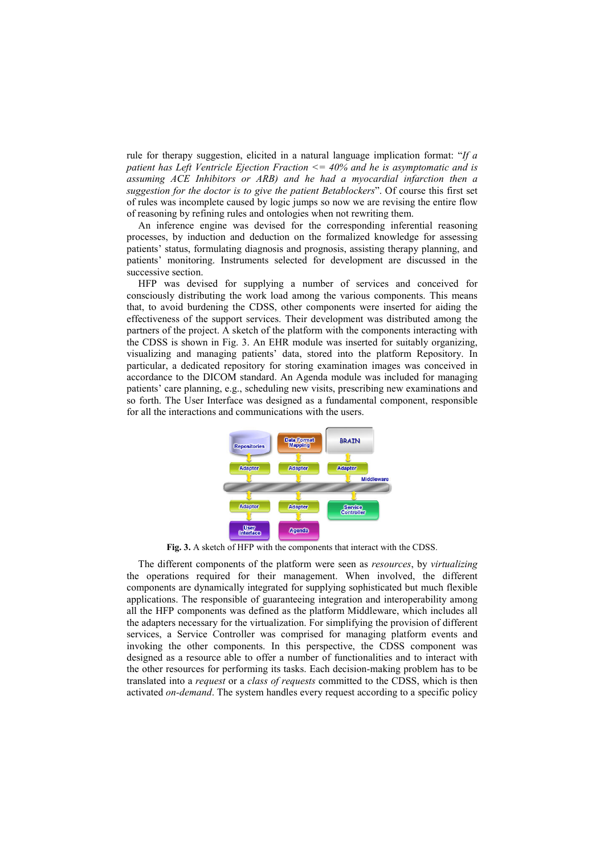rule for therapy suggestion, elicited in a natural language implication format: "If a patient has Left Ventricle Ejection Fraction  $\leq$  = 40% and he is asymptomatic and is assuming ACE Inhibitors or ARB) and he had a myocardial infarction then a suggestion for the doctor is to give the patient Betablockers". Of course this first set of rules was incomplete caused by logic jumps so now we are revising the entire flow of reasoning by refining rules and ontologies when not rewriting them.

An inference engine was devised for the corresponding inferential reasoning processes, by induction and deduction on the formalized knowledge for assessing patients' status, formulating diagnosis and prognosis, assisting therapy planning, and patients' monitoring. Instruments selected for development are discussed in the successive section.

HFP was devised for supplying a number of services and conceived for consciously distributing the work load among the various components. This means that, to avoid burdening the CDSS, other components were inserted for aiding the effectiveness of the support services. Their development was distributed among the partners of the project. A sketch of the platform with the components interacting with the CDSS is shown in Fig. 3. An EHR module was inserted for suitably organizing, visualizing and managing patients' data, stored into the platform Repository. In particular, a dedicated repository for storing examination images was conceived in accordance to the DICOM standard. An Agenda module was included for managing patients' care planning, e.g., scheduling new visits, prescribing new examinations and so forth. The User Interface was designed as a fundamental component, responsible for all the interactions and communications with the users.



Fig. 3. A sketch of HFP with the components that interact with the CDSS.

The different components of the platform were seen as resources, by virtualizing the operations required for their management. When involved, the different components are dynamically integrated for supplying sophisticated but much flexible applications. The responsible of guaranteeing integration and interoperability among all the HFP components was defined as the platform Middleware, which includes all the adapters necessary for the virtualization. For simplifying the provision of different services, a Service Controller was comprised for managing platform events and invoking the other components. In this perspective, the CDSS component was designed as a resource able to offer a number of functionalities and to interact with the other resources for performing its tasks. Each decision-making problem has to be translated into a *request* or a *class of requests* committed to the CDSS, which is then activated on-demand. The system handles every request according to a specific policy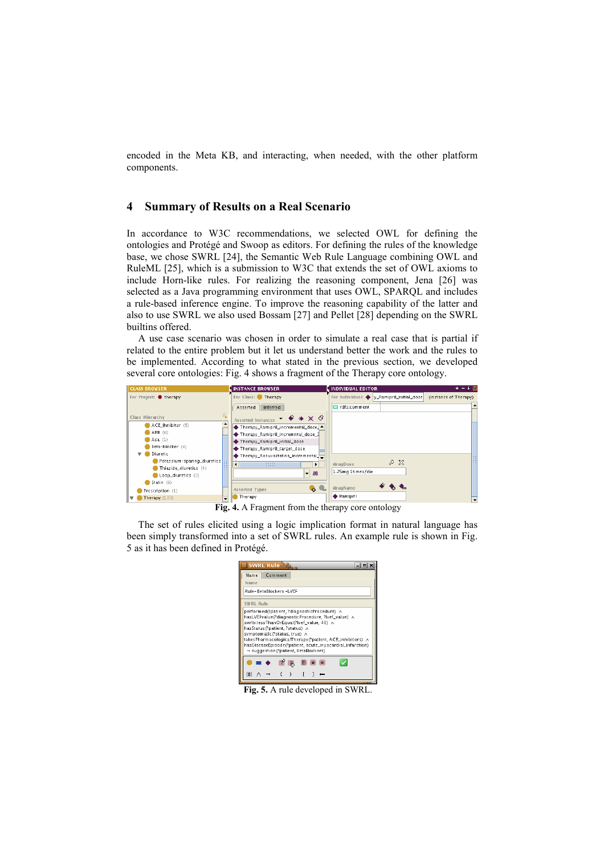encoded in the Meta KB, and interacting, when needed, with the other platform components.

## 4 Summary of Results on a Real Scenario

In accordance to W3C recommendations, we selected OWL for defining the ontologies and Protégé and Swoop as editors. For defining the rules of the knowledge base, we chose SWRL [24], the Semantic Web Rule Language combining OWL and RuleML [25], which is a submission to W3C that extends the set of OWL axioms to include Horn-like rules. For realizing the reasoning component, Jena [26] was selected as a Java programming environment that uses OWL, SPARQL and includes a rule-based inference engine. To improve the reasoning capability of the latter and also to use SWRL we also used Bossam [27] and Pellet [28] depending on the SWRL builtins offered.

A use case scenario was chosen in order to simulate a real case that is partial if related to the entire problem but it let us understand better the work and the rules to be implemented. According to what stated in the previous section, we developed several core ontologies: Fig. 4 shows a fragment of the Therapy core ontology.



Fig. 4. A Fragment from the therapy core ontology

The set of rules elicited using a logic implication format in natural language has been simply transformed into a set of SWRL rules. An example rule is shown in Fig. 5 as it has been defined in Protégé.

| <b>SWRL Rule</b>                                                                                                                                                                                                                                                                                                                                                             |  |  |  |  |  |  |  |
|------------------------------------------------------------------------------------------------------------------------------------------------------------------------------------------------------------------------------------------------------------------------------------------------------------------------------------------------------------------------------|--|--|--|--|--|--|--|
| Comment<br>Name                                                                                                                                                                                                                                                                                                                                                              |  |  |  |  |  |  |  |
| Name                                                                                                                                                                                                                                                                                                                                                                         |  |  |  |  |  |  |  |
| Rule-BetaBlockers-LVEF                                                                                                                                                                                                                                                                                                                                                       |  |  |  |  |  |  |  |
| <b>SWRL Rule</b>                                                                                                                                                                                                                                                                                                                                                             |  |  |  |  |  |  |  |
| performed(?patient, ?diagnosticProcedure) A<br>hasLVEFvalue(?diagnosticProcedure, ?lvef_value) A<br>swrib:lessThanOrEqual(?lvef_value_40) A<br>hasStatus(?patient, ?status) A<br>symptomatic(?status, true) ∧<br>takesPharmacologicalTherapy(?patient, ACE_inhibitors) ^<br>hasDiseaseEpisode(?patient, acute_myocardial_infarction)<br>→ suggestion(?patient, BetaBlockers) |  |  |  |  |  |  |  |
|                                                                                                                                                                                                                                                                                                                                                                              |  |  |  |  |  |  |  |
| #                                                                                                                                                                                                                                                                                                                                                                            |  |  |  |  |  |  |  |

Fig. 5. A rule developed in SWRL.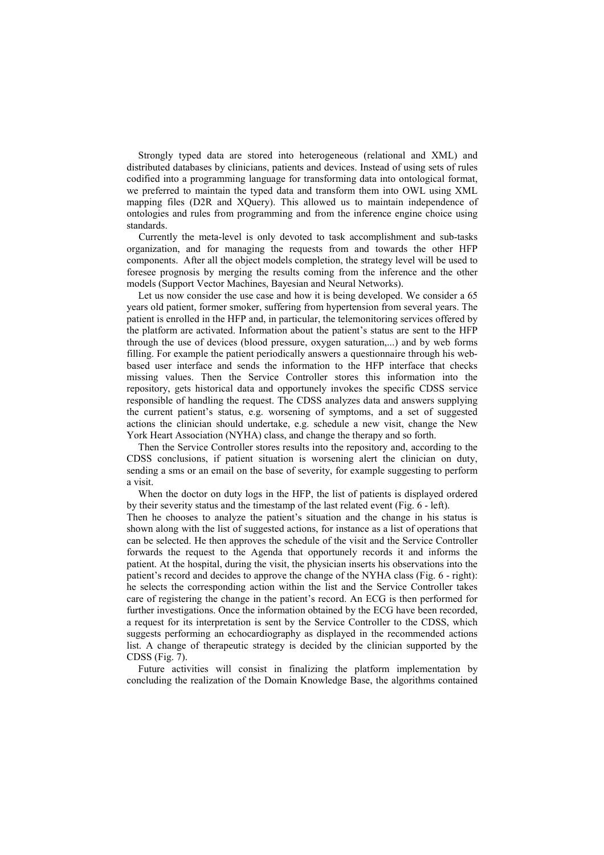Strongly typed data are stored into heterogeneous (relational and XML) and distributed databases by clinicians, patients and devices. Instead of using sets of rules codified into a programming language for transforming data into ontological format, we preferred to maintain the typed data and transform them into OWL using XML mapping files (D2R and XQuery). This allowed us to maintain independence of ontologies and rules from programming and from the inference engine choice using standards.

Currently the meta-level is only devoted to task accomplishment and sub-tasks organization, and for managing the requests from and towards the other HFP components. After all the object models completion, the strategy level will be used to foresee prognosis by merging the results coming from the inference and the other models (Support Vector Machines, Bayesian and Neural Networks).

Let us now consider the use case and how it is being developed. We consider a 65 years old patient, former smoker, suffering from hypertension from several years. The patient is enrolled in the HFP and, in particular, the telemonitoring services offered by the platform are activated. Information about the patient's status are sent to the HFP through the use of devices (blood pressure, oxygen saturation,...) and by web forms filling. For example the patient periodically answers a questionnaire through his webbased user interface and sends the information to the HFP interface that checks missing values. Then the Service Controller stores this information into the repository, gets historical data and opportunely invokes the specific CDSS service responsible of handling the request. The CDSS analyzes data and answers supplying the current patient's status, e.g. worsening of symptoms, and a set of suggested actions the clinician should undertake, e.g. schedule a new visit, change the New York Heart Association (NYHA) class, and change the therapy and so forth.

Then the Service Controller stores results into the repository and, according to the CDSS conclusions, if patient situation is worsening alert the clinician on duty, sending a sms or an email on the base of severity, for example suggesting to perform a visit.

When the doctor on duty logs in the HFP, the list of patients is displayed ordered by their severity status and the timestamp of the last related event (Fig. 6 - left).

Then he chooses to analyze the patient's situation and the change in his status is shown along with the list of suggested actions, for instance as a list of operations that can be selected. He then approves the schedule of the visit and the Service Controller forwards the request to the Agenda that opportunely records it and informs the patient. At the hospital, during the visit, the physician inserts his observations into the patient's record and decides to approve the change of the NYHA class (Fig. 6 - right): he selects the corresponding action within the list and the Service Controller takes care of registering the change in the patient's record. An ECG is then performed for further investigations. Once the information obtained by the ECG have been recorded, a request for its interpretation is sent by the Service Controller to the CDSS, which suggests performing an echocardiography as displayed in the recommended actions list. A change of therapeutic strategy is decided by the clinician supported by the CDSS (Fig. 7).

Future activities will consist in finalizing the platform implementation by concluding the realization of the Domain Knowledge Base, the algorithms contained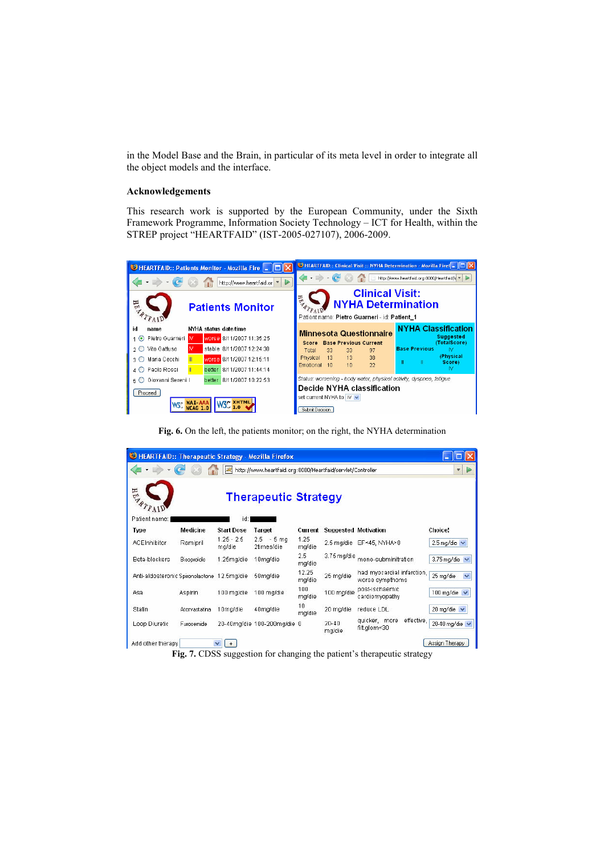in the Model Base and the Brain, in particular of its meta level in order to integrate all the object models and the interface.

#### Acknowledgements

This research work is supported by the European Community, under the Sixth Framework Programme, Information Society Technology – ICT for Health, within the STREP project "HEARTFAID" (IST-2005-027107), 2006-2009.



Fig. 6. On the left, the patients monitor; on the right, the NYHA determination

| HEARTFAID:: Therapeutic Strategy - Mozilla Firefox              |                 |                        |                             |                 |                             |                                               |                          |  |
|-----------------------------------------------------------------|-----------------|------------------------|-----------------------------|-----------------|-----------------------------|-----------------------------------------------|--------------------------|--|
| http://www.heartfaid.org:8080/Heartfaid/servlet/Controller<br>凜 |                 |                        |                             |                 |                             |                                               | $\overline{\Psi}$        |  |
| Hill<br><b>Therapeutic Strategy</b>                             |                 |                        |                             |                 |                             |                                               |                          |  |
| Patient name:                                                   |                 | id:                    |                             |                 |                             |                                               |                          |  |
| <b>Type</b>                                                     | <b>Medicine</b> | <b>Start Dose</b>      | Target                      | Current         | <b>Suggested Motivation</b> |                                               | Choice!                  |  |
| <b>ACEInhibitor</b>                                             | Ramipril        | $1.25 - 2.5$<br>mg/die | $2.5 - 5$ mg<br>2times/die  | 1.25<br>mg/die  |                             | 2.5 mg/die EF<45, NYHA>0                      | 2.5 mg/die $\vee$        |  |
| Beta-blockers                                                   | Bisoprololo     | 1.25mg/die             | 10mg/die                    | 2.5<br>mg/die   | 3.75 mg/die                 | mono-subminitration                           | 3.75 mg/die              |  |
| Anti-aldosteronic Spironolactone 12.5mg/die                     |                 |                        | 50ma/die                    | 12.25<br>mg/die | 25 mg/die                   | had myocardial infarction.<br>worse sympthoms | 25 mg/die<br>$\ddotmark$ |  |
| Asa                                                             | Aspirin         | 100 mg/die             | 100 mg/die                  | 100<br>mg/die   | 100 mg/die                  | post-ischaemic<br>cardiomyopathy              | 100 mg/die               |  |
| Statin                                                          | Atorvastatina   | 10mg/die               | 40mg/die                    | 10<br>mg/die    | 20 mg/die                   | reduce LDL                                    | 20 mg/die $\vee$         |  |
| Loop Diuretic                                                   | Furosemide      |                        | 20-40mg/die 100-200mg/die 0 |                 | $20 - 40$<br>mg/die         | quicker, more<br>effective,<br>filt.glom<30   | 20-40 mg/die $\vee$      |  |
| Add other therapy                                               |                 |                        |                             |                 |                             |                                               | Assign Therapy           |  |

Fig. 7. CDSS suggestion for changing the patient's therapeutic strategy